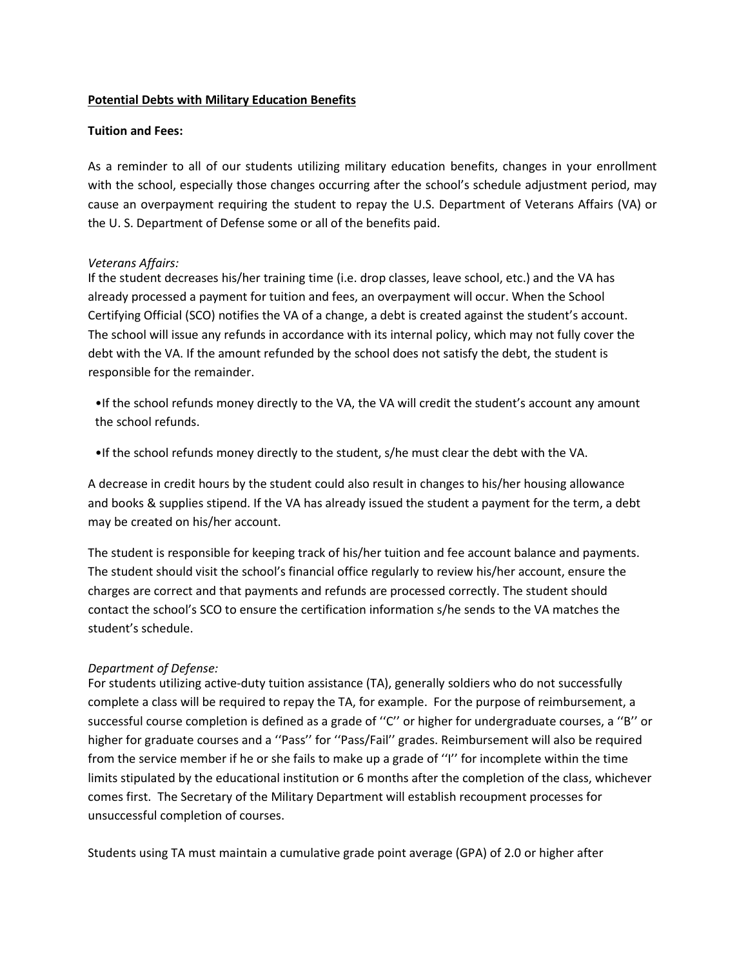## **Potential Debts with Military Education Benefits**

## **Tuition and Fees:**

As a reminder to all of our students utilizing military education benefits, changes in your enrollment with the school, especially those changes occurring after the school's schedule adjustment period, may cause an overpayment requiring the student to repay the U.S. Department of Veterans Affairs (VA) or the U. S. Department of Defense some or all of the benefits paid.

## *Veterans Affairs:*

If the student decreases his/her training time (i.e. drop classes, leave school, etc.) and the VA has already processed a payment for tuition and fees, an overpayment will occur. When the School Certifying Official (SCO) notifies the VA of a change, a debt is created against the student's account. The school will issue any refunds in accordance with its internal policy, which may not fully cover the debt with the VA. If the amount refunded by the school does not satisfy the debt, the student is responsible for the remainder.

•If the school refunds money directly to the VA, the VA will credit the student's account any amount the school refunds.

•If the school refunds money directly to the student, s/he must clear the debt with the VA.

A decrease in credit hours by the student could also result in changes to his/her housing allowance and books & supplies stipend. If the VA has already issued the student a payment for the term, a debt may be created on his/her account.

The student is responsible for keeping track of his/her tuition and fee account balance and payments. The student should visit the school's financial office regularly to review his/her account, ensure the charges are correct and that payments and refunds are processed correctly. The student should contact the school's SCO to ensure the certification information s/he sends to the VA matches the student's schedule.

## *Department of Defense:*

For students utilizing active-duty tuition assistance (TA), generally soldiers who do not successfully complete a class will be required to repay the TA, for example. For the purpose of reimbursement, a successful course completion is defined as a grade of ''C'' or higher for undergraduate courses, a ''B'' or higher for graduate courses and a ''Pass'' for ''Pass/Fail'' grades. Reimbursement will also be required from the service member if he or she fails to make up a grade of ''I'' for incomplete within the time limits stipulated by the educational institution or 6 months after the completion of the class, whichever comes first. The Secretary of the Military Department will establish recoupment processes for unsuccessful completion of courses.

Students using TA must maintain a cumulative grade point average (GPA) of 2.0 or higher after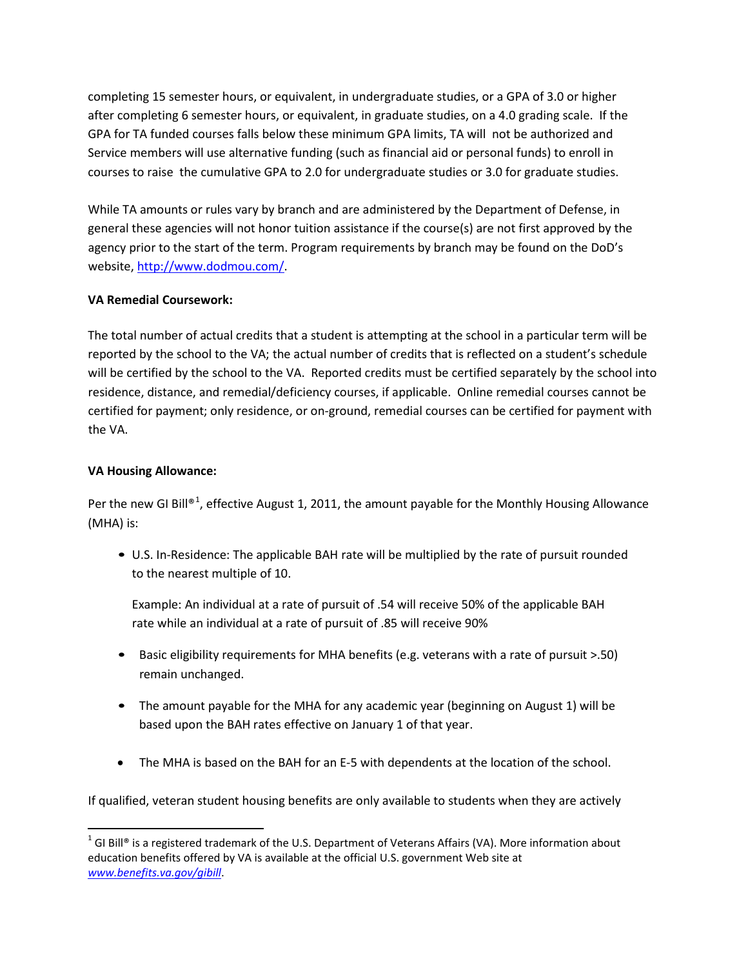completing 15 semester hours, or equivalent, in undergraduate studies, or a GPA of 3.0 or higher after completing 6 semester hours, or equivalent, in graduate studies, on a 4.0 grading scale. If the GPA for TA funded courses falls below these minimum GPA limits, TA will not be authorized and Service members will use alternative funding (such as financial aid or personal funds) to enroll in courses to raise the cumulative GPA to 2.0 for undergraduate studies or 3.0 for graduate studies.

While TA amounts or rules vary by branch and are administered by the Department of Defense, in general these agencies will not honor tuition assistance if the course(s) are not first approved by the agency prior to the start of the term. Program requirements by branch may be found on the DoD's website, [http://www.dodmou.com/.](http://www.dodmou.com/)

# **VA Remedial Coursework:**

The total number of actual credits that a student is attempting at the school in a particular term will be reported by the school to the VA; the actual number of credits that is reflected on a student's schedule will be certified by the school to the VA. Reported credits must be certified separately by the school into residence, distance, and remedial/deficiency courses, if applicable. Online remedial courses cannot be certified for payment; only residence, or on-ground, remedial courses can be certified for payment with the VA.

# **VA Housing Allowance:**

Per the new GI Bill®<sup>[1](#page-1-0)</sup>, effective August 1, 2011, the amount payable for the Monthly Housing Allowance (MHA) is:

• U.S. In-Residence: The applicable BAH rate will be multiplied by the rate of pursuit rounded to the nearest multiple of 10.

Example: An individual at a rate of pursuit of .54 will receive 50% of the applicable BAH rate while an individual at a rate of pursuit of .85 will receive 90%

- Basic eligibility requirements for MHA benefits (e.g. veterans with a rate of pursuit >.50) remain unchanged.
- The amount payable for the MHA for any academic year (beginning on August 1) will be based upon the BAH rates effective on January 1 of that year.
- The MHA is based on the BAH for an E-5 with dependents at the location of the school.

If qualified, veteran student housing benefits are only available to students when they are actively

<span id="page-1-0"></span> $1$  GI Bill® is a registered trademark of the U.S. Department of Veterans Affairs (VA). More information about education benefits offered by VA is available at the official U.S. government Web site at *[www.benefits.va.gov/gibill](http://www.benefits.va.gov/gibill)*.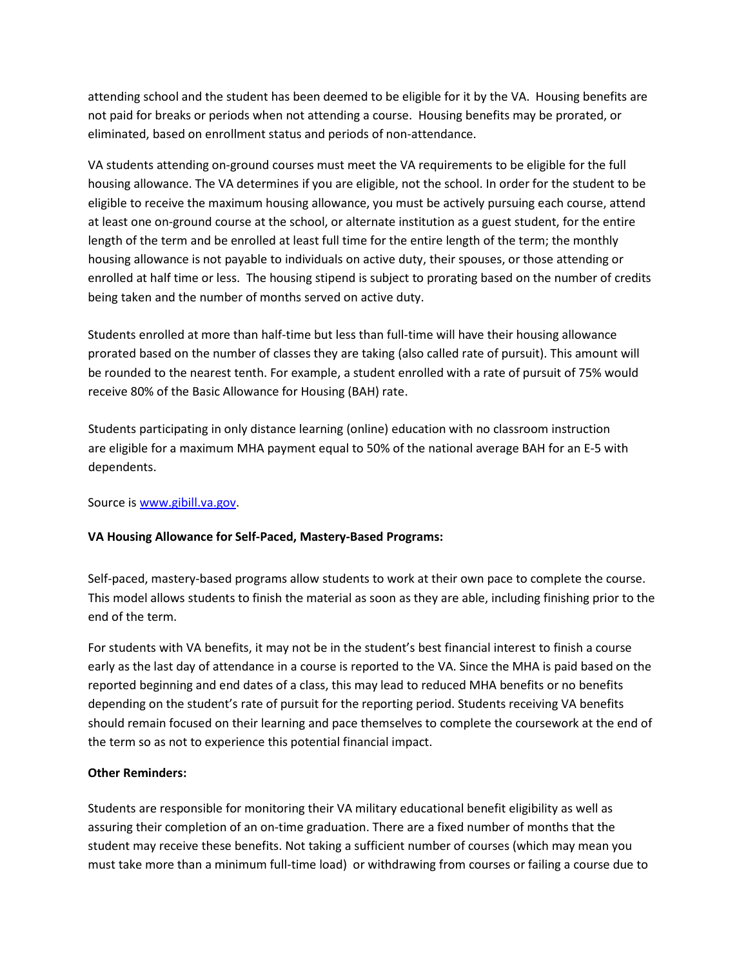attending school and the student has been deemed to be eligible for it by the VA. Housing benefits are not paid for breaks or periods when not attending a course. Housing benefits may be prorated, or eliminated, based on enrollment status and periods of non-attendance.

VA students attending on-ground courses must meet the VA requirements to be eligible for the full housing allowance. The VA determines if you are eligible, not the school. In order for the student to be eligible to receive the maximum housing allowance, you must be actively pursuing each course, attend at least one on-ground course at the school, or alternate institution as a guest student, for the entire length of the term and be enrolled at least full time for the entire length of the term; the monthly housing allowance is not payable to individuals on active duty, their spouses, or those attending or enrolled at half time or less. The housing stipend is subject to prorating based on the number of credits being taken and the number of months served on active duty.

Students enrolled at more than half-time but less than full-time will have their housing allowance prorated based on the number of classes they are taking (also called rate of pursuit). This amount will be rounded to the nearest tenth. For example, a student enrolled with a rate of pursuit of 75% would receive 80% of the Basic Allowance for Housing (BAH) rate.

Students participating in only distance learning (online) education with no classroom instruction are eligible for a maximum MHA payment equal to 50% of the national average BAH for an E-5 with dependents.

Source is [www.gibill.va.gov.](http://www.gibill.va.gov/)

## **VA Housing Allowance for Self-Paced, Mastery-Based Programs:**

Self-paced, mastery-based programs allow students to work at their own pace to complete the course. This model allows students to finish the material as soon as they are able, including finishing prior to the end of the term.

For students with VA benefits, it may not be in the student's best financial interest to finish a course early as the last day of attendance in a course is reported to the VA. Since the MHA is paid based on the reported beginning and end dates of a class, this may lead to reduced MHA benefits or no benefits depending on the student's rate of pursuit for the reporting period. Students receiving VA benefits should remain focused on their learning and pace themselves to complete the coursework at the end of the term so as not to experience this potential financial impact.

## **Other Reminders:**

Students are responsible for monitoring their VA military educational benefit eligibility as well as assuring their completion of an on-time graduation. There are a fixed number of months that the student may receive these benefits. Not taking a sufficient number of courses (which may mean you must take more than a minimum full-time load) or withdrawing from courses or failing a course due to